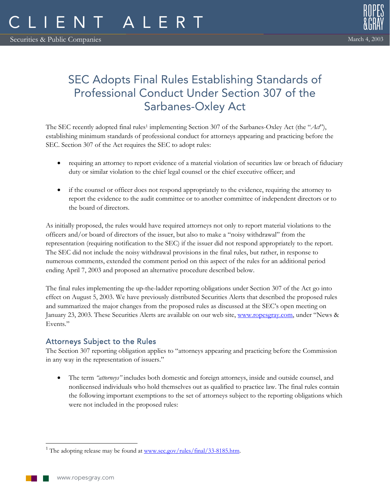

# SEC Adopts Final Rules Establishing Standards of Professional Conduct Under Section 307 of the Sarbanes-Oxley Act

The SEC recently adopted final rules<sup>1</sup> implementing Section 307 of the Sarbanes-Oxley Act (the "Act"), establishing minimum standards of professional conduct for attorneys appearing and practicing before the SEC. Section 307 of the Act requires the SEC to adopt rules:

- requiring an attorney to report evidence of a material violation of securities law or breach of fiduciary duty or similar violation to the chief legal counsel or the chief executive officer; and
- if the counsel or officer does not respond appropriately to the evidence, requiring the attorney to report the evidence to the audit committee or to another committee of independent directors or to the board of directors.

As initially proposed, the rules would have required attorneys not only to report material violations to the officers and/or board of directors of the issuer, but also to make a "noisy withdrawal" from the representation (requiring notification to the SEC) if the issuer did not respond appropriately to the report. The SEC did not include the noisy withdrawal provisions in the final rules, but rather, in response to numerous comments, extended the comment period on this aspect of the rules for an additional period ending April 7, 2003 and proposed an alternative procedure described below.

The final rules implementing the up-the-ladder reporting obligations under Section 307 of the Act go into effect on August 5, 2003. We have previously distributed Securities Alerts that described the proposed rules and summarized the major changes from the proposed rules as discussed at the SEC's open meeting on January 23, 2003. These Securities Alerts are available on our web site, www.ropesgray.com, under "News & Events."

# Attorneys Subject to the Rules

The Section 307 reporting obligation applies to "attorneys appearing and practicing before the Commission in any way in the representation of issuers."

• The term *"attorneys"* includes both domestic and foreign attorneys, inside and outside counsel, and nonlicensed individuals who hold themselves out as qualified to practice law. The final rules contain the following important exemptions to the set of attorneys subject to the reporting obligations which were not included in the proposed rules:

 $\overline{a}$ <sup>1</sup> The adopting release may be found at www.sec.gov/rules/final/33-8185.htm.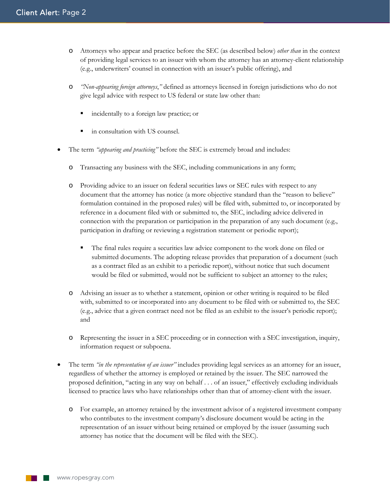- o Attorneys who appear and practice before the SEC (as described below) *other than* in the context of providing legal services to an issuer with whom the attorney has an attorney-client relationship (e.g., underwriters' counsel in connection with an issuer's public offering), and
- o *"Non-appearing foreign attorneys*,*"* defined as attorneys licensed in foreign jurisdictions who do not give legal advice with respect to US federal or state law other than:
	- incidentally to a foreign law practice; or
	- in consultation with US counsel.
- The term *"appearing and practicing"* before the SEC is extremely broad and includes:
	- o Transacting any business with the SEC, including communications in any form;
	- o Providing advice to an issuer on federal securities laws or SEC rules with respect to any document that the attorney has notice (a more objective standard than the "reason to believe" formulation contained in the proposed rules) will be filed with, submitted to, or incorporated by reference in a document filed with or submitted to, the SEC, including advice delivered in connection with the preparation or participation in the preparation of any such document (e.g., participation in drafting or reviewing a registration statement or periodic report);
		- The final rules require a securities law advice component to the work done on filed or submitted documents. The adopting release provides that preparation of a document (such as a contract filed as an exhibit to a periodic report), without notice that such document would be filed or submitted, would not be sufficient to subject an attorney to the rules;
	- o Advising an issuer as to whether a statement, opinion or other writing is required to be filed with, submitted to or incorporated into any document to be filed with or submitted to, the SEC (e.g., advice that a given contract need not be filed as an exhibit to the issuer's periodic report); and
	- o Representing the issuer in a SEC proceeding or in connection with a SEC investigation, inquiry, information request or subpoena.
- The term *"in the representation of an issuer"* includes providing legal services as an attorney for an issuer, regardless of whether the attorney is employed or retained by the issuer. The SEC narrowed the proposed definition, "acting in any way on behalf . . . of an issuer," effectively excluding individuals licensed to practice laws who have relationships other than that of attorney-client with the issuer.
	- o For example, an attorney retained by the investment advisor of a registered investment company who contributes to the investment company's disclosure document would be acting in the representation of an issuer without being retained or employed by the issuer (assuming such attorney has notice that the document will be filed with the SEC).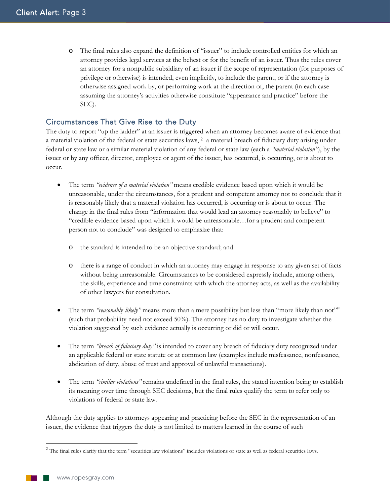o The final rules also expand the definition of "issuer" to include controlled entities for which an attorney provides legal services at the behest or for the benefit of an issuer. Thus the rules cover an attorney for a nonpublic subsidiary of an issuer if the scope of representation (for purposes of privilege or otherwise) is intended, even implicitly, to include the parent, or if the attorney is otherwise assigned work by, or performing work at the direction of, the parent (in each case assuming the attorney's activities otherwise constitute "appearance and practice" before the SEC).

# Circumstances That Give Rise to the Duty

The duty to report "up the ladder" at an issuer is triggered when an attorney becomes aware of evidence that a material violation of the federal or state securities laws, 2 a material breach of fiduciary duty arising under federal or state law or a similar material violation of any federal or state law (each a *"material violation"*), by the issuer or by any officer, director, employee or agent of the issuer, has occurred, is occurring, or is about to occur.

- The term *"evidence of a material violation"* means credible evidence based upon which it would be unreasonable, under the circumstances, for a prudent and competent attorney not to conclude that it is reasonably likely that a material violation has occurred, is occurring or is about to occur. The change in the final rules from "information that would lead an attorney reasonably to believe" to "credible evidence based upon which it would be unreasonable…for a prudent and competent person not to conclude" was designed to emphasize that:
	- o the standard is intended to be an objective standard; and
	- o there is a range of conduct in which an attorney may engage in response to any given set of facts without being unreasonable. Circumstances to be considered expressly include, among others, the skills, experience and time constraints with which the attorney acts, as well as the availability of other lawyers for consultation.
- The term *"reasonabl*y *likely"* means more than a mere possibility but less than "more likely than not"" (such that probability need not exceed 50%). The attorney has no duty to investigate whether the violation suggested by such evidence actually is occurring or did or will occur.
- The term *"breach of fiduciary duty"* is intended to cover any breach of fiduciary duty recognized under an applicable federal or state statute or at common law (examples include misfeasance, nonfeasance, abdication of duty, abuse of trust and approval of unlawful transactions).
- The term *"similar violations"* remains undefined in the final rules, the stated intention being to establish its meaning over time through SEC decisions, but the final rules qualify the term to refer only to violations of federal or state law.

Although the duty applies to attorneys appearing and practicing before the SEC in the representation of an issuer, the evidence that triggers the duty is not limited to matters learned in the course of such

 $2$  The final rules clarify that the term "securities law violations" includes violations of state as well as federal securities laws.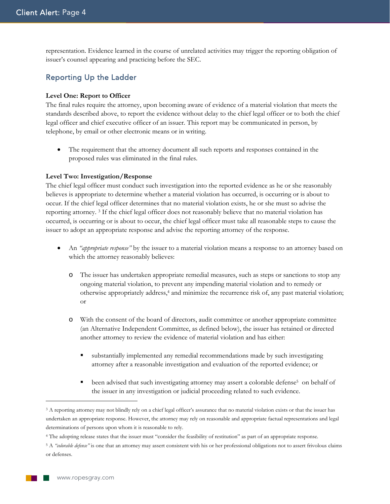representation. Evidence learned in the course of unrelated activities may trigger the reporting obligation of issuer's counsel appearing and practicing before the SEC.

## Reporting Up the Ladder

#### **Level One: Report to Officer**

The final rules require the attorney, upon becoming aware of evidence of a material violation that meets the standards described above, to report the evidence without delay to the chief legal officer or to both the chief legal officer and chief executive officer of an issuer. This report may be communicated in person, by telephone, by email or other electronic means or in writing.

• The requirement that the attorney document all such reports and responses contained in the proposed rules was eliminated in the final rules.

#### **Level Two: Investigation/Response**

The chief legal officer must conduct such investigation into the reported evidence as he or she reasonably believes is appropriate to determine whether a material violation has occurred, is occurring or is about to occur. If the chief legal officer determines that no material violation exists, he or she must so advise the reporting attorney. 3 If the chief legal officer does not reasonably believe that no material violation has occurred, is occurring or is about to occur, the chief legal officer must take all reasonable steps to cause the issuer to adopt an appropriate response and advise the reporting attorney of the response.

- An *"appropriate response"* by the issuer to a material violation means a response to an attorney based on which the attorney reasonably believes:
	- o The issuer has undertaken appropriate remedial measures, such as steps or sanctions to stop any ongoing material violation, to prevent any impending material violation and to remedy or otherwise appropriately address,4 and minimize the recurrence risk of, any past material violation; or
	- o With the consent of the board of directors, audit committee or another appropriate committee (an Alternative Independent Committee, as defined below), the issuer has retained or directed another attorney to review the evidence of material violation and has either:
		- substantially implemented any remedial recommendations made by such investigating attorney after a reasonable investigation and evaluation of the reported evidence; or
		- been advised that such investigating attorney may assert a colorable defense<sup>5</sup> on behalf of the issuer in any investigation or judicial proceeding related to such evidence.

<sup>&</sup>lt;sup>3</sup> A reporting attorney may not blindly rely on a chief legal officer's assurance that no material violation exists or that the issuer has undertaken an appropriate response. However, the attorney may rely on reasonable and appropriate factual representations and legal determinations of persons upon whom it is reasonable to rely.

<sup>4</sup> The adopting release states that the issuer must "consider the feasibility of restitution" as part of an appropriate response.

<sup>5</sup> A *"colorable defense"* is one that an attorney may assert consistent with his or her professional obligations not to assert frivolous claims or defenses.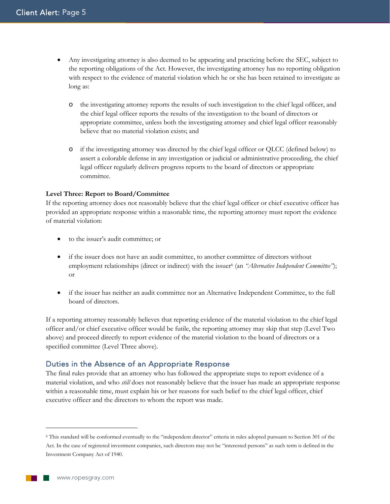- Any investigating attorney is also deemed to be appearing and practicing before the SEC, subject to the reporting obligations of the Act. However, the investigating attorney has no reporting obligation with respect to the evidence of material violation which he or she has been retained to investigate as long as:
	- o the investigating attorney reports the results of such investigation to the chief legal officer, and the chief legal officer reports the results of the investigation to the board of directors or appropriate committee, unless both the investigating attorney and chief legal officer reasonably believe that no material violation exists; and
	- o if the investigating attorney was directed by the chief legal officer or QLCC (defined below) to assert a colorable defense in any investigation or judicial or administrative proceeding, the chief legal officer regularly delivers progress reports to the board of directors or appropriate committee.

#### **Level Three: Report to Board/Committee**

If the reporting attorney does not reasonably believe that the chief legal officer or chief executive officer has provided an appropriate response within a reasonable time, the reporting attorney must report the evidence of material violation:

- to the issuer's audit committee; or
- if the issuer does not have an audit committee, to another committee of directors without employment relationships (direct or indirect) with the issuer<sup>6</sup> (an *"Alternative Independent Committee"*); or
- if the issuer has neither an audit committee nor an Alternative Independent Committee, to the full board of directors.

If a reporting attorney reasonably believes that reporting evidence of the material violation to the chief legal officer and/or chief executive officer would be futile, the reporting attorney may skip that step (Level Two above) and proceed directly to report evidence of the material violation to the board of directors or a specified committee (Level Three above).

## Duties in the Absence of an Appropriate Response

The final rules provide that an attorney who has followed the appropriate steps to report evidence of a material violation, and who *still* does not reasonably believe that the issuer has made an appropriate response within a reasonable time, must explain his or her reasons for such belief to the chief legal officer, chief executive officer and the directors to whom the report was made.

<sup>6</sup> This standard will be conformed eventually to the "independent director" criteria in rules adopted pursuant to Section 301 of the Act. In the case of registered investment companies, such directors may not be "interested persons" as such term is defined in the Investment Company Act of 1940.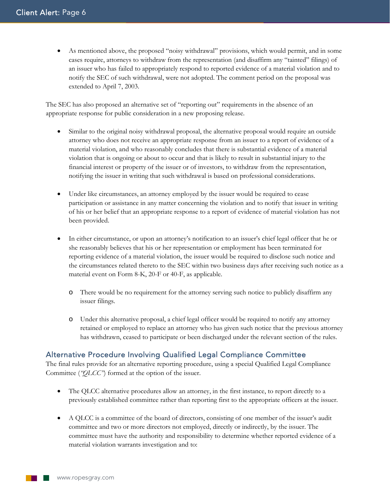• As mentioned above, the proposed "noisy withdrawal" provisions, which would permit, and in some cases require, attorneys to withdraw from the representation (and disaffirm any "tainted" filings) of an issuer who has failed to appropriately respond to reported evidence of a material violation and to notify the SEC of such withdrawal, were not adopted. The comment period on the proposal was extended to April 7, 2003.

The SEC has also proposed an alternative set of "reporting out" requirements in the absence of an appropriate response for public consideration in a new proposing release.

- Similar to the original noisy withdrawal proposal, the alternative proposal would require an outside attorney who does not receive an appropriate response from an issuer to a report of evidence of a material violation, and who reasonably concludes that there is substantial evidence of a material violation that is ongoing or about to occur and that is likely to result in substantial injury to the financial interest or property of the issuer or of investors, to withdraw from the representation, notifying the issuer in writing that such withdrawal is based on professional considerations.
- Under like circumstances, an attorney employed by the issuer would be required to cease participation or assistance in any matter concerning the violation and to notify that issuer in writing of his or her belief that an appropriate response to a report of evidence of material violation has not been provided.
- In either circumstance, or upon an attorney's notification to an issuer's chief legal officer that he or she reasonably believes that his or her representation or employment has been terminated for reporting evidence of a material violation, the issuer would be required to disclose such notice and the circumstances related thereto to the SEC within two business days after receiving such notice as a material event on Form 8-K, 20-F or 40-F, as applicable.
	- o There would be no requirement for the attorney serving such notice to publicly disaffirm any issuer filings.
	- o Under this alternative proposal, a chief legal officer would be required to notify any attorney retained or employed to replace an attorney who has given such notice that the previous attorney has withdrawn, ceased to participate or been discharged under the relevant section of the rules.

# Alternative Procedure Involving Qualified Legal Compliance Committee

The final rules provide for an alternative reporting procedure, using a special Qualified Legal Compliance Committee (*"QLCC"*) formed at the option of the issuer.

- The QLCC alternative procedures allow an attorney, in the first instance, to report directly to a previously established committee rather than reporting first to the appropriate officers at the issuer.
- A QLCC is a committee of the board of directors, consisting of one member of the issuer's audit committee and two or more directors not employed, directly or indirectly, by the issuer. The committee must have the authority and responsibility to determine whether reported evidence of a material violation warrants investigation and to: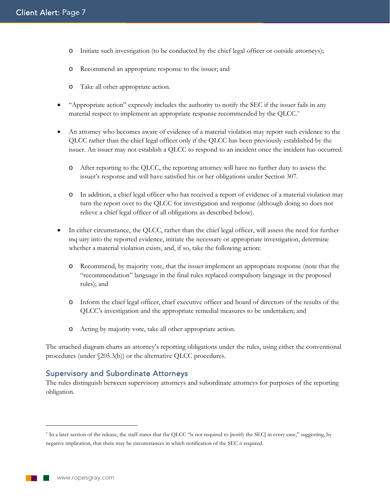- o Initiate such investigation (to be conducted by the chief legal officer or outside attorneys);
- o Recommend an appropriate response to the issuer; and
- o Take all other appropriate action.
- "Appropriate action" expressly includes the authority to notify the SEC if the issuer fails in any material respect to implement an appropriate response recommended by the QLCC.7
- An attorney who becomes aware of evidence of a material violation may report such evidence to the QLCC rather than the chief legal officer only if the QLCC has been previously established by the issuer. An issuer may not establish a QLCC to respond to an incident once the incident has occurred.
	- o After reporting to the QLCC, the reporting attorney will have no further duty to assess the issuer's response and will have satisfied his or her obligations under Section 307.
	- o In addition, a chief legal officer who has received a report of evidence of a material violation may turn the report over to the QLCC for investigation and response (although doing so does not relieve a chief legal officer of all obligations as described below).
- In either circumstance, the QLCC, rather than the chief legal officer, will assess the need for further inq uiry into the reported evidence, initiate the necessary or appropriate investigation, determine whether a material violation exists, and, if so, take the following action:
	- o Recommend, by majority vote, that the issuer implement an appropriate response (note that the "recommendation" language in the final rules replaced compulsory language in the proposed rules); and
	- o Inform the chief legal officer, chief executive officer and board of directors of the results of the QLCC's investigation and the appropriate remedial measures to be undertaken; and
	- o Acting by majority vote, take all other appropriate action.

The attached diagram charts an attorney's reporting obligations under the rules, using either the conventional procedures (under §205.3(b)) or the alternative QLCC procedures.

#### Supervisory and Subordinate Attorneys

The rules distinguish between supervisory attorneys and subordinate attorneys for purposes of the reporting obligation.

<sup>7</sup> In a later section of the release, the staff states that the QLCC "is not required to [notify the SEC] in every case," suggesting, by negative implication, that there may be circumstances in which notification of the SEC *is* required.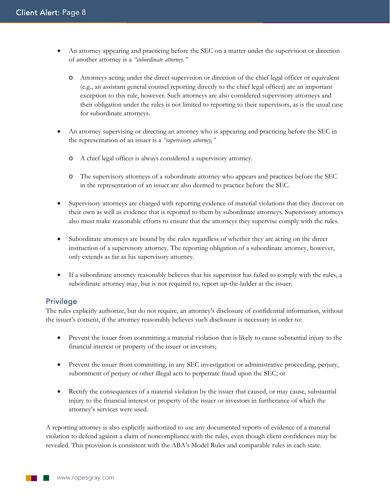- An attorney appearing and practicing before the SEC on a matter under the supervision or direction of another attorney is a *"subordinate attorney*.*"*
	- o Attorneys acting under the direct supervision or direction of the chief legal officer or equivalent (e.g., an assistant general counsel reporting directly to the chief legal officer) are an important exception to this rule, however. Such attorneys are also considered supervisory attorneys and their obligation under the rules is not limited to reporting to their supervisors, as is the usual case for subordinate attorneys.
- An attorney supervising or directing an attorney who is appearing and practicing before the SEC in the representation of an issuer is a *"supervisory attorney."*
	- o A chief legal officer is always considered a supervisory attorney.
	- o The supervisory attorneys of a subordinate attorney who appears and practices before the SEC in the representation of an issuer are also deemed to practice before the SEC.
- Supervisory attorneys are charged with reporting evidence of material violations that they discover on their own as well as evidence that is reported to them by subordinate attorneys. Supervisory attorneys also must make reasonable efforts to ensure that the attorneys they supervise comply with the rules.
- Subordinate attorneys are bound by the rules regardless of whether they are acting on the direct instruction of a supervisory attorney. The reporting obligation of a subordinate attorney, however, only extends as far as his supervisory attorney.
- If a subordinate attorney reasonably believes that his supervisor has failed to comply with the rules, a subordinate attorney may, but is not required to, report up-the-ladder at the issuer.

## Privilege

The rules explicitly authorize, but do not require, an attorney's disclosure of confidential information, without the issuer's consent, if the attorney reasonably believes such disclosure is necessary in order to:

- Prevent the issuer from committing a material violation that is likely to cause substantial injury to the financial interest or property of the issuer or investors;
- Prevent the issuer from committing, in any SEC investigation or administrative proceeding, perjury, subornment of perjury or other illegal acts to perpetrate fraud upon the SEC; or
- Rectify the consequences of a material violation by the issuer that caused, or may cause, substantial injury to the financial interest or property of the issuer or investors in furtherance of which the attorney's services were used.

A reporting attorney is also explicitly authorized to use any documented reports of evidence of a material violation to defend against a claim of noncompliance with the rules, even though client confidences may be revealed. This provision is consistent with the ABA's Model Rules and comparable rules in each state.